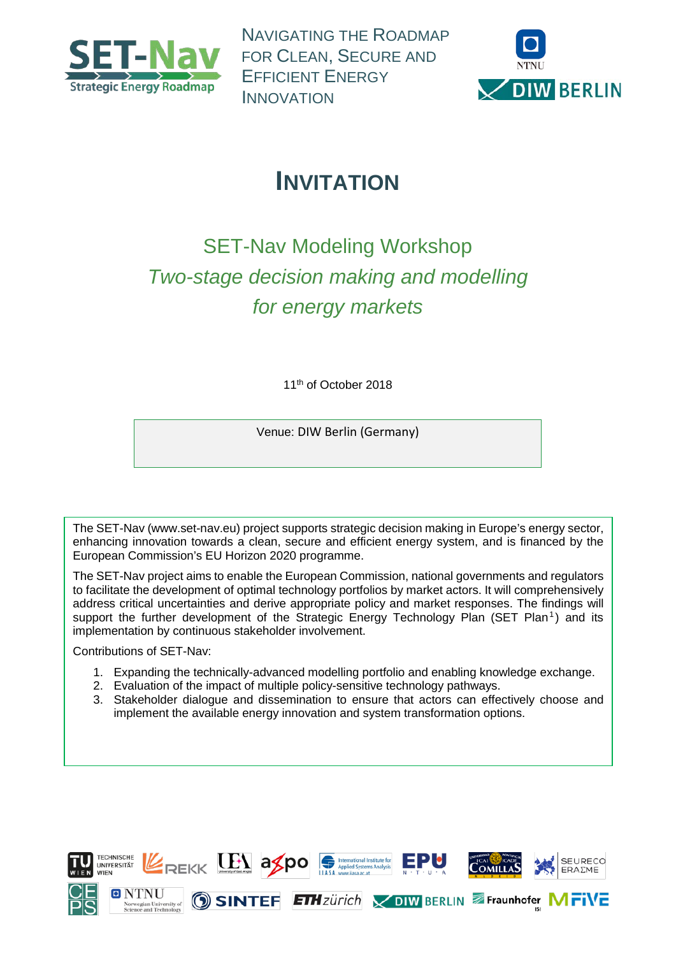

NAVIGATING THE ROADMAP FOR CLEAN, SECURE AND EFFICIENT ENERGY INNOVATION



# **INVITATION**

# SET-Nav Modeling Workshop *Two-stage decision making and modelling for energy markets*

11<sup>th</sup> of October 2018

Venue: DIW Berlin (Germany)

The SET-Nav [\(www.set-nav.eu\)](http://www.set-nav.eu/) project supports strategic decision making in Europe's energy sector, enhancing innovation towards a clean, secure and efficient energy system, and is financed by the European Commission's EU Horizon 2020 programme.

The SET-Nav project aims to enable the European Commission, national governments and regulators to facilitate the development of optimal technology portfolios by market actors. It will comprehensively address critical uncertainties and derive appropriate policy and market responses. The findings will support the further development of the Strategic Energy Technology Plan (SET Plan<sup>1</sup>) and its implementation by continuous stakeholder involvement.

Contributions of SET-Nav:

- 1. Expanding the technically-advanced modelling portfolio and enabling knowledge exchange.
- 2. Evaluation of the impact of multiple policy-sensitive technology pathways.
- 3. Stakeholder dialogue and dissemination to ensure that actors can effectively choose and implement the available energy innovation and system transformation options.

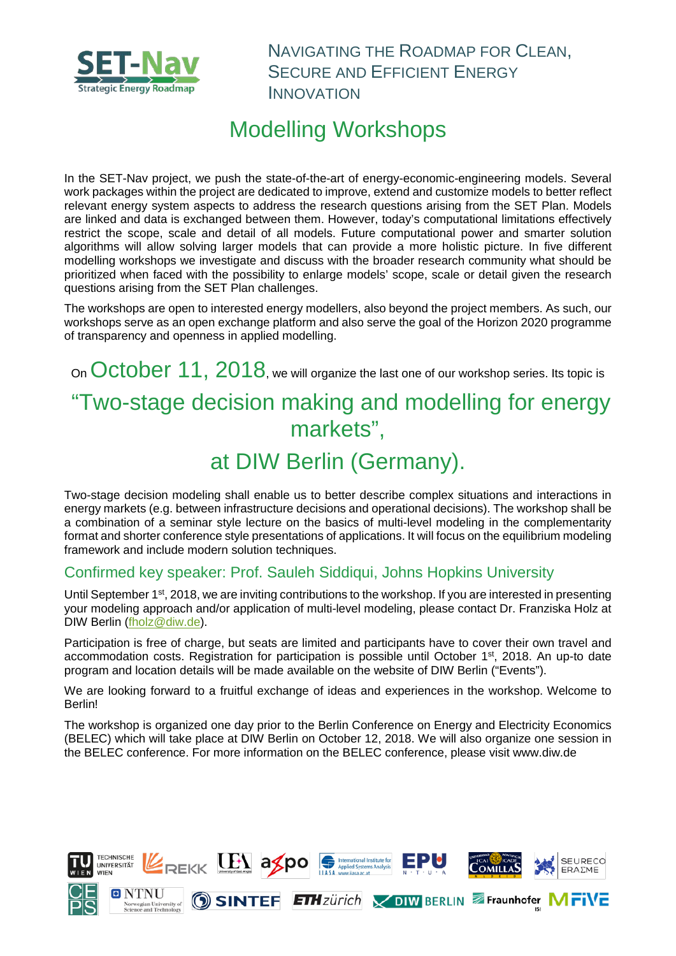

NAVIGATING THE ROADMAP FOR CLEAN, SECURE AND EFFICIENT ENERGY INNOVATION

## Modelling Workshops

In the SET-Nav project, we push the state-of-the-art of energy-economic-engineering models. Several work packages within the project are dedicated to improve, extend and customize models to better reflect relevant energy system aspects to address the research questions arising from the SET Plan. Models are linked and data is exchanged between them. However, today's computational limitations effectively restrict the scope, scale and detail of all models. Future computational power and smarter solution algorithms will allow solving larger models that can provide a more holistic picture. In five different modelling workshops we investigate and discuss with the broader research community what should be prioritized when faced with the possibility to enlarge models' scope, scale or detail given the research questions arising from the SET Plan challenges.

The workshops are open to interested energy modellers, also beyond the project members. As such, our workshops serve as an open exchange platform and also serve the goal of the Horizon 2020 programme of transparency and openness in applied modelling.

## On October 11, 2018, we will organize the last one of our workshop series. Its topic is "Two-stage decision making and modelling for energy markets",

## at DIW Berlin (Germany).

Two-stage decision modeling shall enable us to better describe complex situations and interactions in energy markets (e.g. between infrastructure decisions and operational decisions). The workshop shall be a combination of a seminar style lecture on the basics of multi-level modeling in the complementarity format and shorter conference style presentations of applications. It will focus on the equilibrium modeling framework and include modern solution techniques.

#### Confirmed key speaker: Prof. Sauleh Siddiqui, Johns Hopkins University

Until September 1<sup>st</sup>, 2018, we are inviting contributions to the workshop. If you are interested in presenting your modeling approach and/or application of multi-level modeling, please contact Dr. Franziska Holz at DIW Berlin [\(fholz@diw.de\)](mailto:fholz@diw.de).

Participation is free of charge, but seats are limited and participants have to cover their own travel and accommodation costs. Registration for participation is possible until October 1<sup>st</sup>, 2018. An up-to date program and location details will be made available on the website of DIW Berlin ("Events").

We are looking forward to a fruitful exchange of ideas and experiences in the workshop. Welcome to Berlin!

The workshop is organized one day prior to the Berlin Conference on Energy and Electricity Economics (BELEC) which will take place at DIW Berlin on October 12, 2018. We will also organize one session in the BELEC conference. For more information on the BELEC conference, please visit www.diw.de